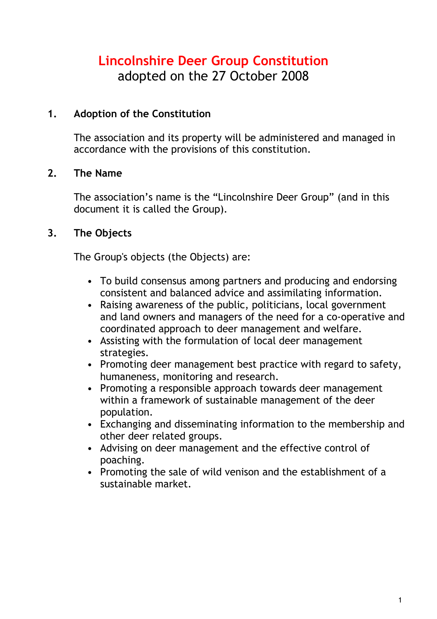# **Lincolnshire Deer Group Constitution** adopted on the 27 October 2008

## **1. Adoption of the Constitution**

The association and its property will be administered and managed in accordance with the provisions of this constitution.

## **2. The Name**

The association's name is the "Lincolnshire Deer Group" (and in this document it is called the Group).

# **3. The Objects**

The Group's objects (the Objects) are:

- To build consensus among partners and producing and endorsing consistent and balanced advice and assimilating information.
- Raising awareness of the public, politicians, local government and land owners and managers of the need for a co-operative and coordinated approach to deer management and welfare.
- Assisting with the formulation of local deer management strategies.
- Promoting deer management best practice with regard to safety, humaneness, monitoring and research.
- Promoting a responsible approach towards deer management within a framework of sustainable management of the deer population.
- Exchanging and disseminating information to the membership and other deer related groups.
- Advising on deer management and the effective control of poaching.
- Promoting the sale of wild venison and the establishment of a sustainable market.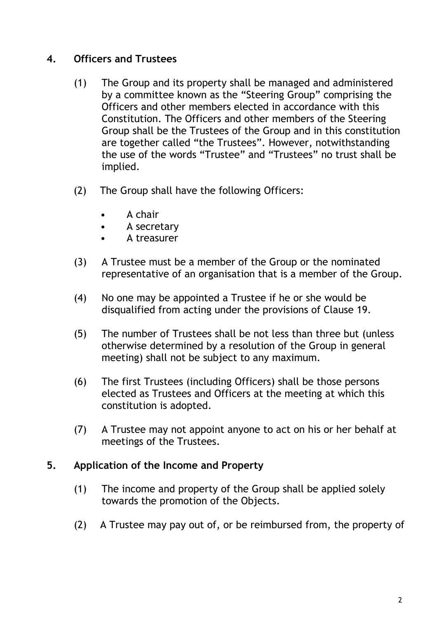# **4. Officers and Trustees**

- (1) The Group and its property shall be managed and administered by a committee known as the "Steering Group" comprising the Officers and other members elected in accordance with this Constitution. The Officers and other members of the Steering Group shall be the Trustees of the Group and in this constitution are together called "the Trustees". However, notwithstanding the use of the words "Trustee" and "Trustees" no trust shall be implied.
- (2) The Group shall have the following Officers:
	- A chair
	- A secretary
	- A treasurer
- (3) A Trustee must be a member of the Group or the nominated representative of an organisation that is a member of the Group.
- (4) No one may be appointed a Trustee if he or she would be disqualified from acting under the provisions of Clause 19.
- (5) The number of Trustees shall be not less than three but (unless otherwise determined by a resolution of the Group in general meeting) shall not be subject to any maximum.
- (6) The first Trustees (including Officers) shall be those persons elected as Trustees and Officers at the meeting at which this constitution is adopted.
- (7) A Trustee may not appoint anyone to act on his or her behalf at meetings of the Trustees.

#### **5. Application of the Income and Property**

- (1) The income and property of the Group shall be applied solely towards the promotion of the Objects.
- (2) A Trustee may pay out of, or be reimbursed from, the property of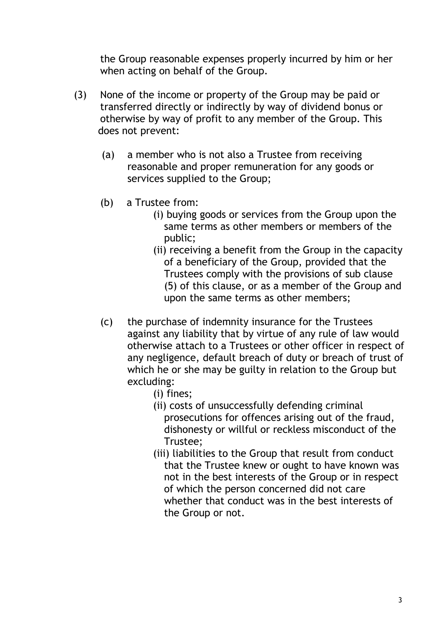the Group reasonable expenses properly incurred by him or her when acting on behalf of the Group.

- (3) None of the income or property of the Group may be paid or transferred directly or indirectly by way of dividend bonus or otherwise by way of profit to any member of the Group. This does not prevent:
	- (a) a member who is not also a Trustee from receiving reasonable and proper remuneration for any goods or services supplied to the Group;
	- (b) a Trustee from:
		- (i) buying goods or services from the Group upon the same terms as other members or members of the public;
		- (ii) receiving a benefit from the Group in the capacity of a beneficiary of the Group, provided that the Trustees comply with the provisions of sub clause (5) of this clause, or as a member of the Group and upon the same terms as other members;
	- (c) the purchase of indemnity insurance for the Trustees against any liability that by virtue of any rule of law would otherwise attach to a Trustees or other officer in respect of any negligence, default breach of duty or breach of trust of which he or she may be guilty in relation to the Group but excluding:
		- (i) fines;
		- (ii) costs of unsuccessfully defending criminal prosecutions for offences arising out of the fraud, dishonesty or willful or reckless misconduct of the Trustee;
		- (iii) liabilities to the Group that result from conduct that the Trustee knew or ought to have known was not in the best interests of the Group or in respect of which the person concerned did not care whether that conduct was in the best interests of the Group or not.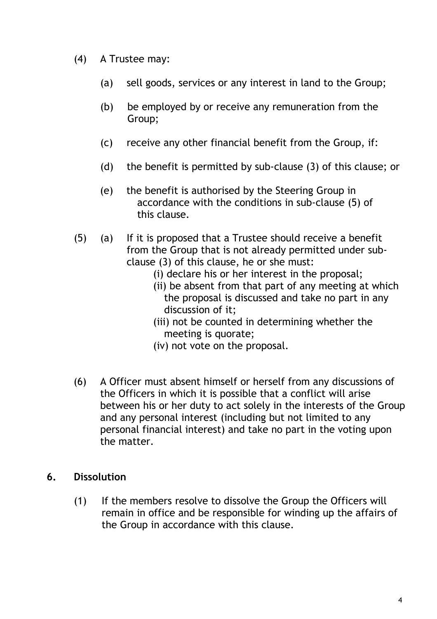- (4) A Trustee may:
	- (a) sell goods, services or any interest in land to the Group;
	- (b) be employed by or receive any remuneration from the Group;
	- (c) receive any other financial benefit from the Group, if:
	- (d) the benefit is permitted by sub-clause (3) of this clause; or
	- (e) the benefit is authorised by the Steering Group in accordance with the conditions in sub-clause (5) of this clause.
- (5) (a) If it is proposed that a Trustee should receive a benefit from the Group that is not already permitted under subclause (3) of this clause, he or she must:
	- (i) declare his or her interest in the proposal;
	- (ii) be absent from that part of any meeting at which the proposal is discussed and take no part in any discussion of it;
	- (iii) not be counted in determining whether the meeting is quorate;
	- (iv) not vote on the proposal.
- (6) A Officer must absent himself or herself from any discussions of the Officers in which it is possible that a conflict will arise between his or her duty to act solely in the interests of the Group and any personal interest (including but not limited to any personal financial interest) and take no part in the voting upon the matter.

#### **6. Dissolution**

(1) If the members resolve to dissolve the Group the Officers will remain in office and be responsible for winding up the affairs of the Group in accordance with this clause.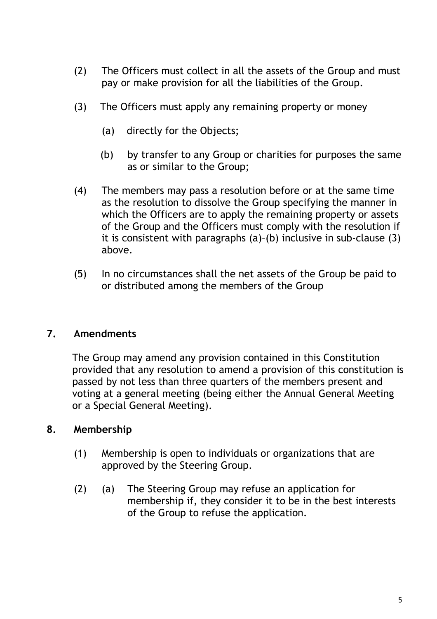- (2) The Officers must collect in all the assets of the Group and must pay or make provision for all the liabilities of the Group.
- (3) The Officers must apply any remaining property or money
	- (a) directly for the Objects;
	- (b) by transfer to any Group or charities for purposes the same as or similar to the Group;
- (4) The members may pass a resolution before or at the same time as the resolution to dissolve the Group specifying the manner in which the Officers are to apply the remaining property or assets of the Group and the Officers must comply with the resolution if it is consistent with paragraphs (a)–(b) inclusive in sub-clause (3) above.
- (5) In no circumstances shall the net assets of the Group be paid to or distributed among the members of the Group

# **7. Amendments**

The Group may amend any provision contained in this Constitution provided that any resolution to amend a provision of this constitution is passed by not less than three quarters of the members present and voting at a general meeting (being either the Annual General Meeting or a Special General Meeting).

#### **8. Membership**

- (1) Membership is open to individuals or organizations that are approved by the Steering Group.
- (2) (a) The Steering Group may refuse an application for membership if, they consider it to be in the best interests of the Group to refuse the application.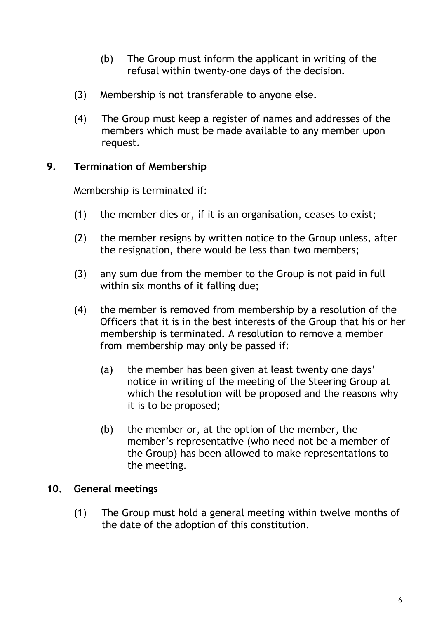- (b) The Group must inform the applicant in writing of the refusal within twenty-one days of the decision.
- (3) Membership is not transferable to anyone else.
- (4) The Group must keep a register of names and addresses of the members which must be made available to any member upon request.

# **9. Termination of Membership**

Membership is terminated if:

- (1) the member dies or, if it is an organisation, ceases to exist;
- (2) the member resigns by written notice to the Group unless, after the resignation, there would be less than two members;
- (3) any sum due from the member to the Group is not paid in full within six months of it falling due;
- (4) the member is removed from membership by a resolution of the Officers that it is in the best interests of the Group that his or her membership is terminated. A resolution to remove a member from membership may only be passed if:
	- (a) the member has been given at least twenty one days' notice in writing of the meeting of the Steering Group at which the resolution will be proposed and the reasons why it is to be proposed;
	- (b) the member or, at the option of the member, the member's representative (who need not be a member of the Group) has been allowed to make representations to the meeting.

# **10. General meetings**

(1) The Group must hold a general meeting within twelve months of the date of the adoption of this constitution.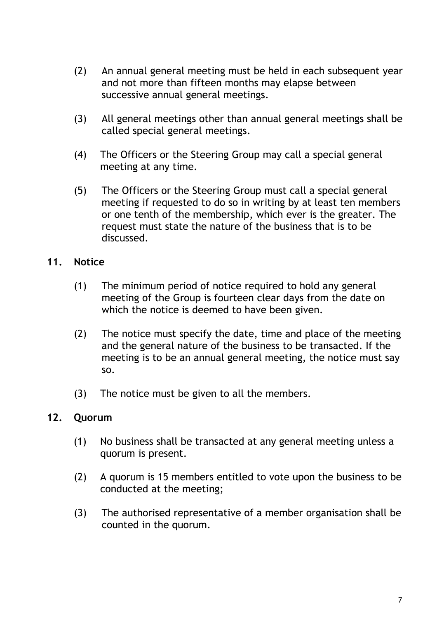- (2) An annual general meeting must be held in each subsequent year and not more than fifteen months may elapse between successive annual general meetings.
- (3) All general meetings other than annual general meetings shall be called special general meetings.
- (4) The Officers or the Steering Group may call a special general meeting at any time.
- (5) The Officers or the Steering Group must call a special general meeting if requested to do so in writing by at least ten members or one tenth of the membership, which ever is the greater. The request must state the nature of the business that is to be discussed.

## **11. Notice**

- (1) The minimum period of notice required to hold any general meeting of the Group is fourteen clear days from the date on which the notice is deemed to have been given.
- (2) The notice must specify the date, time and place of the meeting and the general nature of the business to be transacted. If the meeting is to be an annual general meeting, the notice must say so.
- (3) The notice must be given to all the members.

#### **12. Quorum**

- (1) No business shall be transacted at any general meeting unless a quorum is present.
- (2) A quorum is 15 members entitled to vote upon the business to be conducted at the meeting;
- (3) The authorised representative of a member organisation shall be counted in the quorum.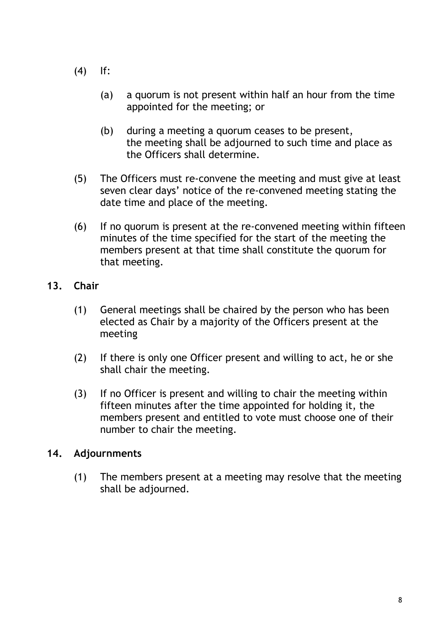- (4) If:
	- (a) a quorum is not present within half an hour from the time appointed for the meeting; or
	- (b) during a meeting a quorum ceases to be present, the meeting shall be adjourned to such time and place as the Officers shall determine.
- (5) The Officers must re-convene the meeting and must give at least seven clear days' notice of the re-convened meeting stating the date time and place of the meeting.
- (6) If no quorum is present at the re-convened meeting within fifteen minutes of the time specified for the start of the meeting the members present at that time shall constitute the quorum for that meeting.

# **13. Chair**

- (1) General meetings shall be chaired by the person who has been elected as Chair by a majority of the Officers present at the meeting
- (2) If there is only one Officer present and willing to act, he or she shall chair the meeting.
- (3) If no Officer is present and willing to chair the meeting within fifteen minutes after the time appointed for holding it, the members present and entitled to vote must choose one of their number to chair the meeting.

# **14. Adjournments**

(1) The members present at a meeting may resolve that the meeting shall be adjourned.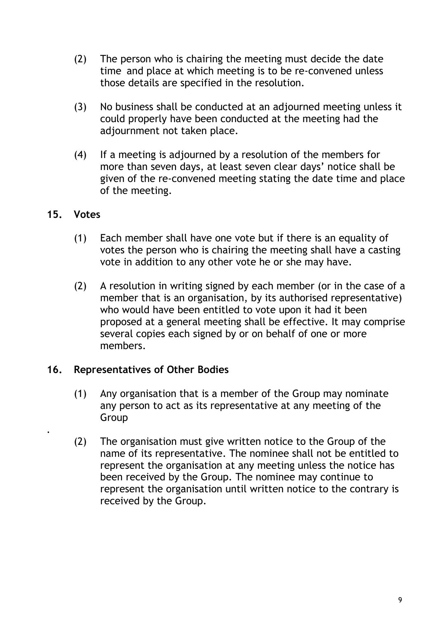- (2) The person who is chairing the meeting must decide the date time and place at which meeting is to be re-convened unless those details are specified in the resolution.
- (3) No business shall be conducted at an adjourned meeting unless it could properly have been conducted at the meeting had the adjournment not taken place.
- (4) If a meeting is adjourned by a resolution of the members for more than seven days, at least seven clear days' notice shall be given of the re-convened meeting stating the date time and place of the meeting.

## **15. Votes**

.

- (1) Each member shall have one vote but if there is an equality of votes the person who is chairing the meeting shall have a casting vote in addition to any other vote he or she may have.
- (2) A resolution in writing signed by each member (or in the case of a member that is an organisation, by its authorised representative) who would have been entitled to vote upon it had it been proposed at a general meeting shall be effective. It may comprise several copies each signed by or on behalf of one or more members.

#### **16. Representatives of Other Bodies**

- (1) Any organisation that is a member of the Group may nominate any person to act as its representative at any meeting of the Group
- (2) The organisation must give written notice to the Group of the name of its representative. The nominee shall not be entitled to represent the organisation at any meeting unless the notice has been received by the Group. The nominee may continue to represent the organisation until written notice to the contrary is received by the Group.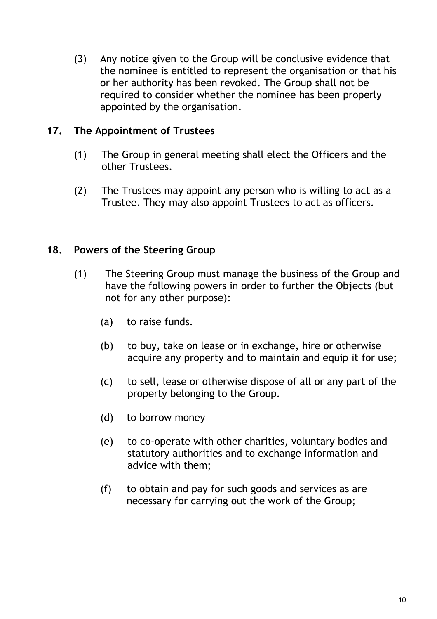(3) Any notice given to the Group will be conclusive evidence that the nominee is entitled to represent the organisation or that his or her authority has been revoked. The Group shall not be required to consider whether the nominee has been properly appointed by the organisation.

## **17. The Appointment of Trustees**

- (1) The Group in general meeting shall elect the Officers and the other Trustees.
- (2) The Trustees may appoint any person who is willing to act as a Trustee. They may also appoint Trustees to act as officers.

## **18. Powers of the Steering Group**

- (1) The Steering Group must manage the business of the Group and have the following powers in order to further the Objects (but not for any other purpose):
	- (a) to raise funds.
	- (b) to buy, take on lease or in exchange, hire or otherwise acquire any property and to maintain and equip it for use;
	- (c) to sell, lease or otherwise dispose of all or any part of the property belonging to the Group.
	- (d) to borrow money
	- (e) to co-operate with other charities, voluntary bodies and statutory authorities and to exchange information and advice with them;
	- (f) to obtain and pay for such goods and services as are necessary for carrying out the work of the Group;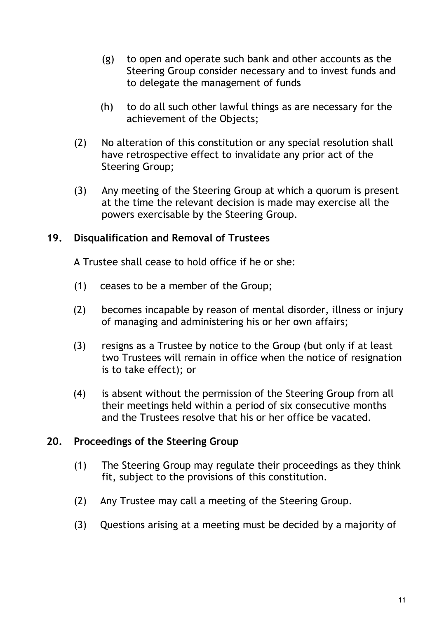- (g) to open and operate such bank and other accounts as the Steering Group consider necessary and to invest funds and to delegate the management of funds
- (h) to do all such other lawful things as are necessary for the achievement of the Objects;
- (2) No alteration of this constitution or any special resolution shall have retrospective effect to invalidate any prior act of the Steering Group;
- (3) Any meeting of the Steering Group at which a quorum is present at the time the relevant decision is made may exercise all the powers exercisable by the Steering Group.

## **19. Disqualification and Removal of Trustees**

A Trustee shall cease to hold office if he or she:

- (1) ceases to be a member of the Group;
- (2) becomes incapable by reason of mental disorder, illness or injury of managing and administering his or her own affairs;
- (3) resigns as a Trustee by notice to the Group (but only if at least two Trustees will remain in office when the notice of resignation is to take effect); or
- (4) is absent without the permission of the Steering Group from all their meetings held within a period of six consecutive months and the Trustees resolve that his or her office be vacated.

# **20. Proceedings of the Steering Group**

- (1) The Steering Group may regulate their proceedings as they think fit, subject to the provisions of this constitution.
- (2) Any Trustee may call a meeting of the Steering Group.
- (3) Questions arising at a meeting must be decided by a majority of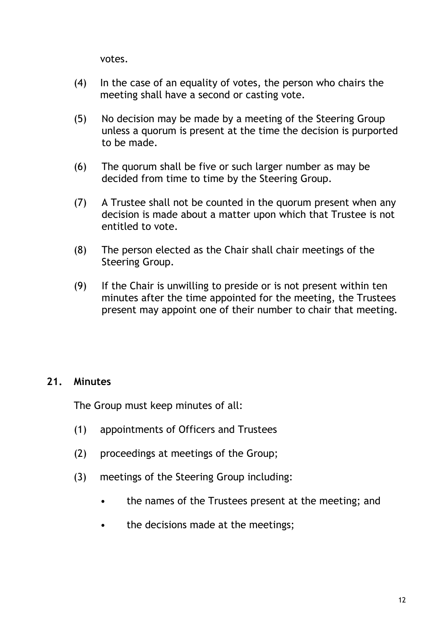votes.

- (4) In the case of an equality of votes, the person who chairs the meeting shall have a second or casting vote.
- (5) No decision may be made by a meeting of the Steering Group unless a quorum is present at the time the decision is purported to be made.
- (6) The quorum shall be five or such larger number as may be decided from time to time by the Steering Group.
- (7) A Trustee shall not be counted in the quorum present when any decision is made about a matter upon which that Trustee is not entitled to vote.
- (8) The person elected as the Chair shall chair meetings of the Steering Group.
- (9) If the Chair is unwilling to preside or is not present within ten minutes after the time appointed for the meeting, the Trustees present may appoint one of their number to chair that meeting.

# **21. Minutes**

The Group must keep minutes of all:

- (1) appointments of Officers and Trustees
- (2) proceedings at meetings of the Group;
- (3) meetings of the Steering Group including:
	- the names of the Trustees present at the meeting; and
	- the decisions made at the meetings;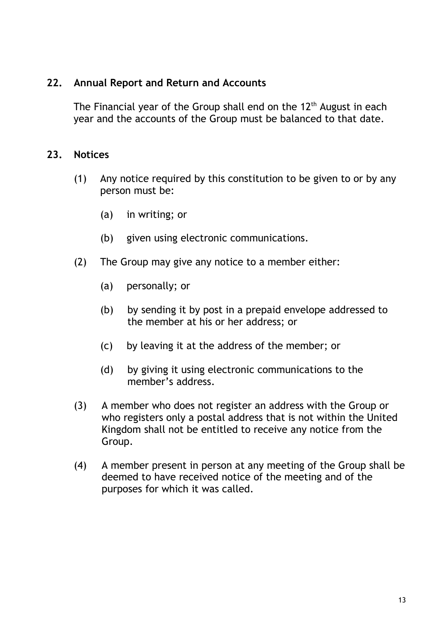#### **22. Annual Report and Return and Accounts**

The Financial year of the Group shall end on the  $12<sup>th</sup>$  August in each year and the accounts of the Group must be balanced to that date.

#### **23. Notices**

- (1) Any notice required by this constitution to be given to or by any person must be:
	- (a) in writing; or
	- (b) given using electronic communications.
- (2) The Group may give any notice to a member either:
	- (a) personally; or
	- (b) by sending it by post in a prepaid envelope addressed to the member at his or her address; or
	- (c) by leaving it at the address of the member; or
	- (d) by giving it using electronic communications to the member's address.
- (3) A member who does not register an address with the Group or who registers only a postal address that is not within the United Kingdom shall not be entitled to receive any notice from the Group.
- (4) A member present in person at any meeting of the Group shall be deemed to have received notice of the meeting and of the purposes for which it was called.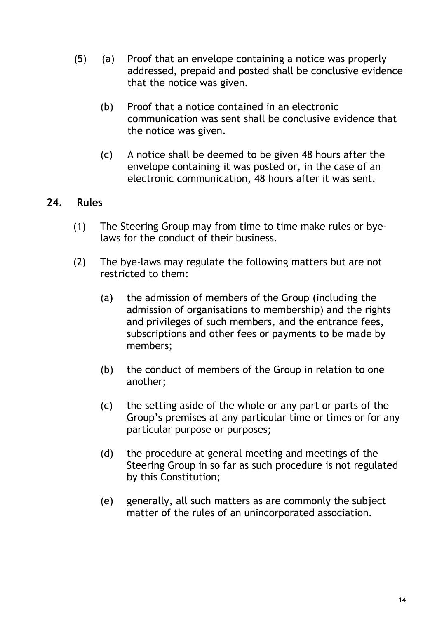- (5) (a) Proof that an envelope containing a notice was properly addressed, prepaid and posted shall be conclusive evidence that the notice was given.
	- (b) Proof that a notice contained in an electronic communication was sent shall be conclusive evidence that the notice was given.
	- (c) A notice shall be deemed to be given 48 hours after the envelope containing it was posted or, in the case of an electronic communication, 48 hours after it was sent.

# **24. Rules**

- (1) The Steering Group may from time to time make rules or byelaws for the conduct of their business.
- (2) The bye-laws may regulate the following matters but are not restricted to them:
	- (a) the admission of members of the Group (including the admission of organisations to membership) and the rights and privileges of such members, and the entrance fees, subscriptions and other fees or payments to be made by members;
	- (b) the conduct of members of the Group in relation to one another;
	- (c) the setting aside of the whole or any part or parts of the Group's premises at any particular time or times or for any particular purpose or purposes;
	- (d) the procedure at general meeting and meetings of the Steering Group in so far as such procedure is not regulated by this Constitution;
	- (e) generally, all such matters as are commonly the subject matter of the rules of an unincorporated association.